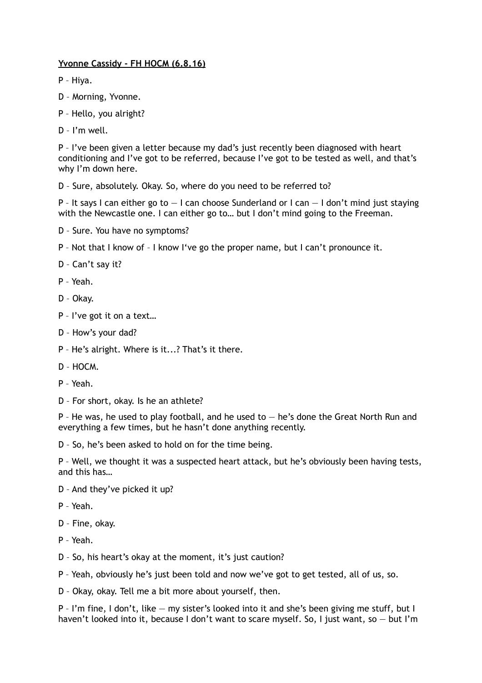## **Yvonne Cassidy - FH HOCM (6.8.16)**

P – Hiya.

- D Morning, Yvonne.
- P Hello, you alright?
- D I'm well.

P – I've been given a letter because my dad's just recently been diagnosed with heart conditioning and I've got to be referred, because I've got to be tested as well, and that's why I'm down here.

D – Sure, absolutely. Okay. So, where do you need to be referred to?

P - It says I can either go to  $-1$  can choose Sunderland or I can  $-1$  don't mind just staying with the Newcastle one. I can either go to... but I don't mind going to the Freeman.

- D Sure. You have no symptoms?
- P Not that I know of I know I've go the proper name, but I can't pronounce it.
- D Can't say it?
- P Yeah.
- D Okay.
- P I've got it on a text…
- D How's your dad?
- P He's alright. Where is it...? That's it there.
- D HOCM.
- P Yeah.
- D For short, okay. Is he an athlete?

P - He was, he used to play football, and he used to  $-$  he's done the Great North Run and everything a few times, but he hasn't done anything recently.

D – So, he's been asked to hold on for the time being.

P – Well, we thought it was a suspected heart attack, but he's obviously been having tests, and this has…

- D And they've picked it up?
- P Yeah.
- D Fine, okay.
- P Yeah.
- D So, his heart's okay at the moment, it's just caution?
- P Yeah, obviously he's just been told and now we've got to get tested, all of us, so.
- D Okay, okay. Tell me a bit more about yourself, then.

P – I'm fine, I don't, like — my sister's looked into it and she's been giving me stuff, but I haven't looked into it, because I don't want to scare myself. So, I just want, so - but I'm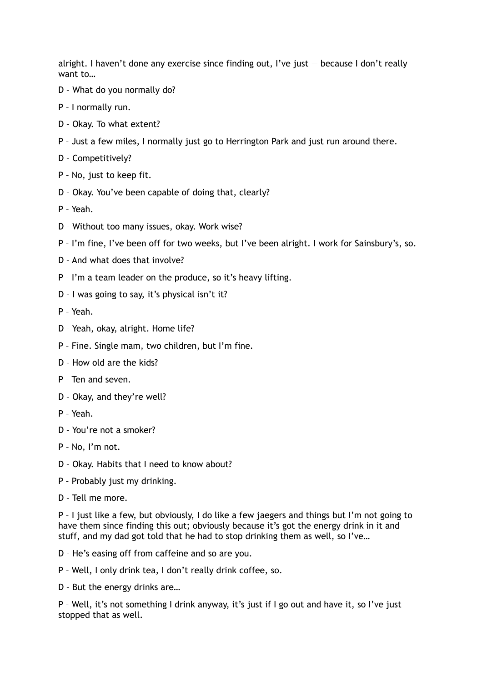alright. I haven't done any exercise since finding out, I've just  $-$  because I don't really want to…

- D What do you normally do?
- P I normally run.
- D Okay. To what extent?
- P Just a few miles, I normally just go to Herrington Park and just run around there.
- D Competitively?
- P No, just to keep fit.
- D Okay. You've been capable of doing that, clearly?
- P Yeah.
- D Without too many issues, okay. Work wise?
- P I'm fine, I've been off for two weeks, but I've been alright. I work for Sainsbury's, so.
- D And what does that involve?
- P I'm a team leader on the produce, so it's heavy lifting.
- D I was going to say, it's physical isn't it?
- P Yeah.
- D Yeah, okay, alright. Home life?
- P Fine. Single mam, two children, but I'm fine.
- D How old are the kids?
- P Ten and seven.
- D Okay, and they're well?
- P Yeah.
- D You're not a smoker?
- P No, I'm not.
- D Okay. Habits that I need to know about?
- P Probably just my drinking.
- D Tell me more.

P – I just like a few, but obviously, I do like a few jaegers and things but I'm not going to have them since finding this out; obviously because it's got the energy drink in it and stuff, and my dad got told that he had to stop drinking them as well, so I've…

D – He's easing off from caffeine and so are you.

- P Well, I only drink tea, I don't really drink coffee, so.
- D But the energy drinks are…

P – Well, it's not something I drink anyway, it's just if I go out and have it, so I've just stopped that as well.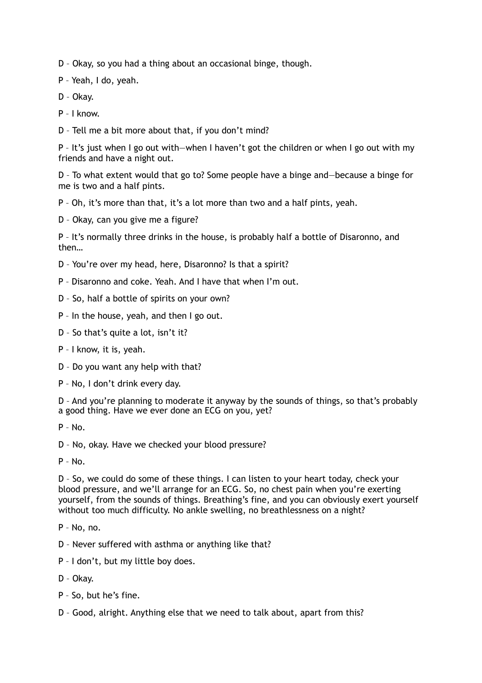D – Okay, so you had a thing about an occasional binge, though.

P – Yeah, I do, yeah.

D – Okay.

P – I know.

D – Tell me a bit more about that, if you don't mind?

P – It's just when I go out with—when I haven't got the children or when I go out with my friends and have a night out.

D – To what extent would that go to? Some people have a binge and—because a binge for me is two and a half pints.

P – Oh, it's more than that, it's a lot more than two and a half pints, yeah.

D – Okay, can you give me a figure?

P – It's normally three drinks in the house, is probably half a bottle of Disaronno, and then…

D – You're over my head, here, Disaronno? Is that a spirit?

P – Disaronno and coke. Yeah. And I have that when I'm out.

D – So, half a bottle of spirits on your own?

P – In the house, yeah, and then I go out.

D – So that's quite a lot, isn't it?

P – I know, it is, yeah.

D – Do you want any help with that?

P – No, I don't drink every day.

D – And you're planning to moderate it anyway by the sounds of things, so that's probably a good thing. Have we ever done an ECG on you, yet?

P – No.

D – No, okay. Have we checked your blood pressure?

P – No.

D – So, we could do some of these things. I can listen to your heart today, check your blood pressure, and we'll arrange for an ECG. So, no chest pain when you're exerting yourself, from the sounds of things. Breathing's fine, and you can obviously exert yourself without too much difficulty. No ankle swelling, no breathlessness on a night?

P – No, no.

D – Never suffered with asthma or anything like that?

P – I don't, but my little boy does.

D – Okay.

P – So, but he's fine.

D – Good, alright. Anything else that we need to talk about, apart from this?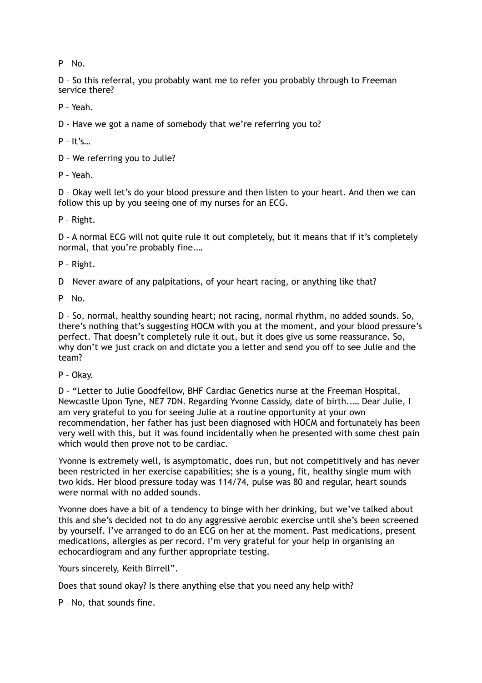$P - N_0$ 

D – So this referral, you probably want me to refer you probably through to Freeman service there?

P – Yeah.

D – Have we got a name of somebody that we're referring you to?

 $P - It's$ 

D – We referring you to Julie?

P – Yeah.

D – Okay well let's do your blood pressure and then listen to your heart. And then we can follow this up by you seeing one of my nurses for an ECG.

P – Right.

D – A normal ECG will not quite rule it out completely, but it means that if it's completely normal, that you're probably fine.…

P – Right.

D – Never aware of any palpitations, of your heart racing, or anything like that?

P – No.

D – So, normal, healthy sounding heart; not racing, normal rhythm, no added sounds. So, there's nothing that's suggesting HOCM with you at the moment, and your blood pressure's perfect. That doesn't completely rule it out, but it does give us some reassurance. So, why don't we just crack on and dictate you a letter and send you off to see Julie and the team?

P – Okay.

D – "Letter to Julie Goodfellow, BHF Cardiac Genetics nurse at the Freeman Hospital, Newcastle Upon Tyne, NE7 7DN. Regarding Yvonne Cassidy, date of birth..… Dear Julie, I am very grateful to you for seeing Julie at a routine opportunity at your own recommendation, her father has just been diagnosed with HOCM and fortunately has been very well with this, but it was found incidentally when he presented with some chest pain which would then prove not to be cardiac.

Yvonne is extremely well, is asymptomatic, does run, but not competitively and has never been restricted in her exercise capabilities; she is a young, fit, healthy single mum with two kids. Her blood pressure today was 114/74, pulse was 80 and regular, heart sounds were normal with no added sounds.

Yvonne does have a bit of a tendency to binge with her drinking, but we've talked about this and she's decided not to do any aggressive aerobic exercise until she's been screened by yourself. I've arranged to do an ECG on her at the moment. Past medications, present medications, allergies as per record. I'm very grateful for your help in organising an echocardiogram and any further appropriate testing.

Yours sincerely, Keith Birrell".

Does that sound okay? Is there anything else that you need any help with?

P – No, that sounds fine.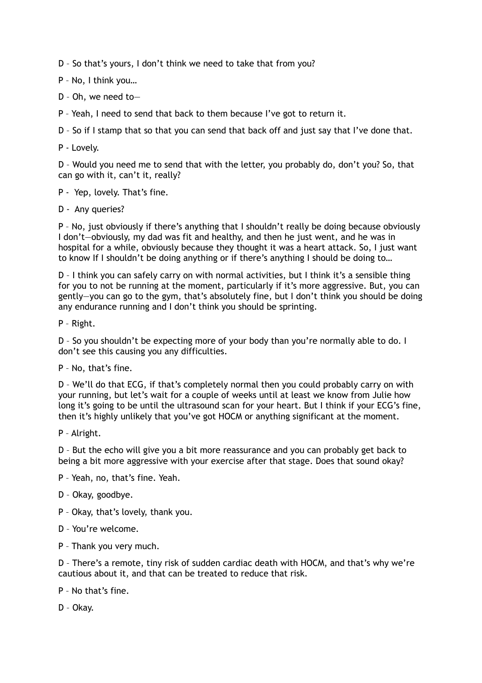D – So that's yours, I don't think we need to take that from you?

P – No, I think you…

- D Oh, we need to—
- P Yeah, I need to send that back to them because I've got to return it.

D – So if I stamp that so that you can send that back off and just say that I've done that.

P - Lovely.

D – Would you need me to send that with the letter, you probably do, don't you? So, that can go with it, can't it, really?

P - Yep, lovely. That's fine.

D - Any queries?

P – No, just obviously if there's anything that I shouldn't really be doing because obviously I don't—obviously, my dad was fit and healthy, and then he just went, and he was in hospital for a while, obviously because they thought it was a heart attack. So, I just want to know If I shouldn't be doing anything or if there's anything I should be doing to…

D – I think you can safely carry on with normal activities, but I think it's a sensible thing for you to not be running at the moment, particularly if it's more aggressive. But, you can gently—you can go to the gym, that's absolutely fine, but I don't think you should be doing any endurance running and I don't think you should be sprinting.

P – Right.

D – So you shouldn't be expecting more of your body than you're normally able to do. I don't see this causing you any difficulties.

P – No, that's fine.

D – We'll do that ECG, if that's completely normal then you could probably carry on with your running, but let's wait for a couple of weeks until at least we know from Julie how long it's going to be until the ultrasound scan for your heart. But I think if your ECG's fine, then it's highly unlikely that you've got HOCM or anything significant at the moment.

P – Alright.

D – But the echo will give you a bit more reassurance and you can probably get back to being a bit more aggressive with your exercise after that stage. Does that sound okay?

P – Yeah, no, that's fine. Yeah.

- D Okay, goodbye.
- P Okay, that's lovely, thank you.
- D You're welcome.
- P Thank you very much.

D – There's a remote, tiny risk of sudden cardiac death with HOCM, and that's why we're cautious about it, and that can be treated to reduce that risk.

P – No that's fine.

D – Okay.